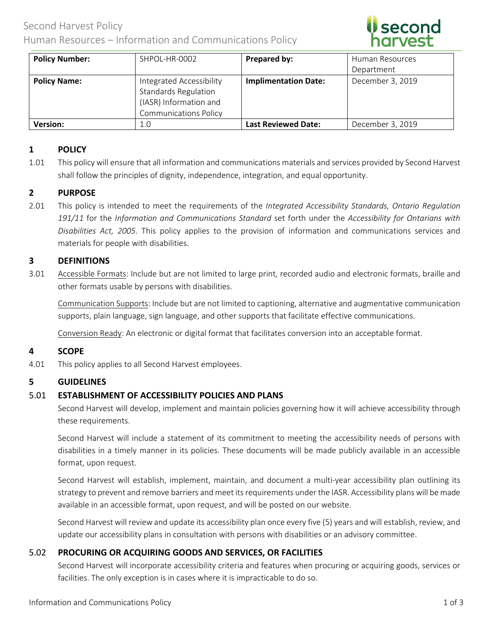

| <b>Policy Number:</b> | SHPOL-HR-0002                                                                                                     | Prepared by:                | Human Resources  |
|-----------------------|-------------------------------------------------------------------------------------------------------------------|-----------------------------|------------------|
|                       |                                                                                                                   |                             | Department       |
| <b>Policy Name:</b>   | Integrated Accessibility<br><b>Standards Regulation</b><br>(IASR) Information and<br><b>Communications Policy</b> | <b>Implimentation Date:</b> | December 3, 2019 |
| <b>Version:</b>       | 1.0                                                                                                               | <b>Last Reviewed Date:</b>  | December 3, 2019 |

# **1 POLICY**

1.01 This policy will ensure that all information and communications materials and services provided by Second Harvest shall follow the principles of dignity, independence, integration, and equal opportunity.

# **2 PURPOSE**

2.01 This policy is intended to meet the requirements of the *Integrated Accessibility Standards, Ontario Regulation 191/11* for the *Information and Communications Standard* set forth under the *Accessibility for Ontarians with Disabilities Act, 2005*. This policy applies to the provision of information and communications services and materials for people with disabilities.

# **3 DEFINITIONS**

3.01 Accessible Formats: Include but are not limited to large print, recorded audio and electronic formats, braille and other formats usable by persons with disabilities.

Communication Supports: Include but are not limited to captioning, alternative and augmentative communication supports, plain language, sign language, and other supports that facilitate effective communications.

Conversion Ready: An electronic or digital format that facilitates conversion into an acceptable format.

## **4 SCOPE**

4.01 This policy applies to all Second Harvest employees.

## **5 GUIDELINES**

## 5.01 **ESTABLISHMENT OF ACCESSIBILITY POLICIES AND PLANS**

Second Harvest will develop, implement and maintain policies governing how it will achieve accessibility through these requirements.

Second Harvest will include a statement of its commitment to meeting the accessibility needs of persons with disabilities in a timely manner in its policies. These documents will be made publicly available in an accessible format, upon request.

Second Harvest will establish, implement, maintain, and document a multi-year accessibility plan outlining its strategy to prevent and remove barriers and meet its requirements under the IASR. Accessibility plans will be made available in an accessible format, upon request, and will be posted on our website.

Second Harvest will review and update its accessibility plan once every five (5) years and will establish, review, and update our accessibility plans in consultation with persons with disabilities or an advisory committee.

# 5.02 **PROCURING OR ACQUIRING GOODS AND SERVICES, OR FACILITIES**

Second Harvest will incorporate accessibility criteria and features when procuring or acquiring goods, services or facilities. The only exception is in cases where it is impracticable to do so.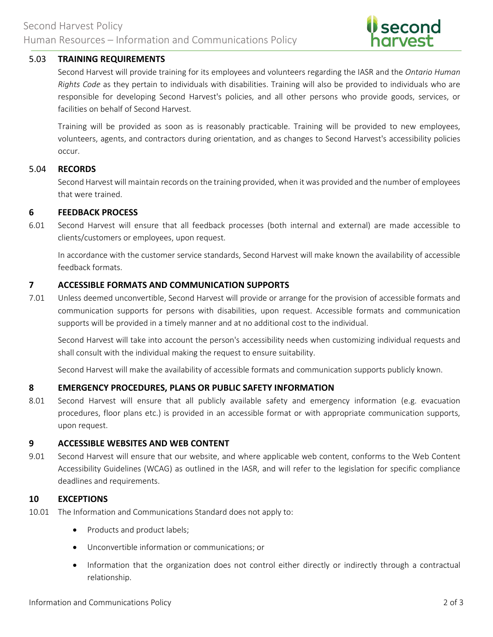

### 5.03 **TRAINING REQUIREMENTS**

Second Harvest will provide training for its employees and volunteers regarding the IASR and the *Ontario Human Rights Code* as they pertain to individuals with disabilities. Training will also be provided to individuals who are responsible for developing Second Harvest's policies, and all other persons who provide goods, services, or facilities on behalf of Second Harvest.

Training will be provided as soon as is reasonably practicable. Training will be provided to new employees, volunteers, agents, and contractors during orientation, and as changes to Second Harvest's accessibility policies occur.

#### 5.04 **RECORDS**

Second Harvest will maintain records on the training provided, when it was provided and the number of employees that were trained.

### **6 FEEDBACK PROCESS**

6.01 Second Harvest will ensure that all feedback processes (both internal and external) are made accessible to clients/customers or employees, upon request.

In accordance with the customer service standards, Second Harvest will make known the availability of accessible feedback formats.

### **7 ACCESSIBLE FORMATS AND COMMUNICATION SUPPORTS**

7.01 Unless deemed unconvertible, Second Harvest will provide or arrange for the provision of accessible formats and communication supports for persons with disabilities, upon request. Accessible formats and communication supports will be provided in a timely manner and at no additional cost to the individual.

Second Harvest will take into account the person's accessibility needs when customizing individual requests and shall consult with the individual making the request to ensure suitability.

Second Harvest will make the availability of accessible formats and communication supports publicly known.

## **8 EMERGENCY PROCEDURES, PLANS OR PUBLIC SAFETY INFORMATION**

8.01 Second Harvest will ensure that all publicly available safety and emergency information (e.g. evacuation procedures, floor plans etc.) is provided in an accessible format or with appropriate communication supports, upon request.

#### **9 ACCESSIBLE WEBSITES AND WEB CONTENT**

9.01 Second Harvest will ensure that our website, and where applicable web content, conforms to the Web Content Accessibility Guidelines (WCAG) as outlined in the IASR, and will refer to the legislation for specific compliance deadlines and requirements.

#### **10 EXCEPTIONS**

- 10.01 The Information and Communications Standard does not apply to:
	- Products and product labels;
	- Unconvertible information or communications; or
	- Information that the organization does not control either directly or indirectly through a contractual relationship.